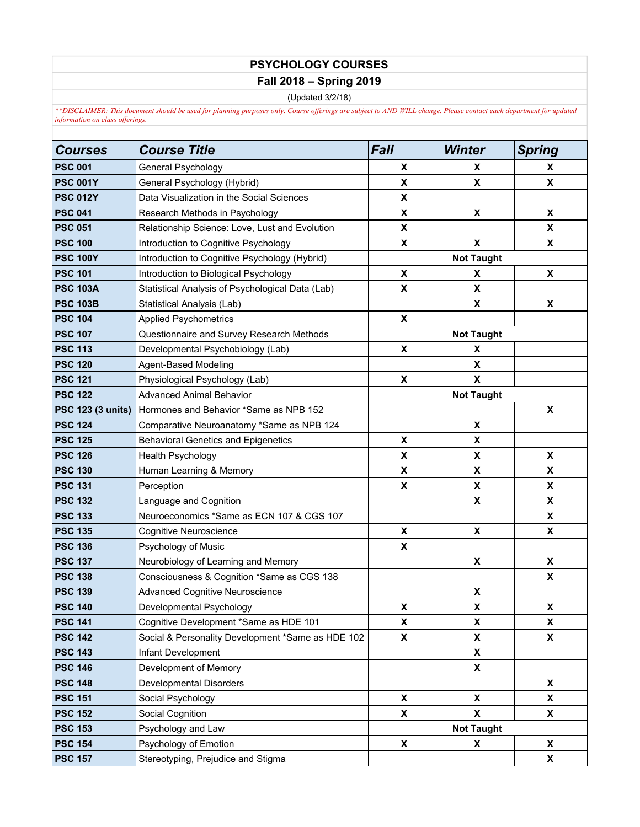## **PSYCHOLOGY COURSES**

## **Fall 2018 – Spring 2019**

(Updated 3/2/18)

*\*\*DISCLAIMER: This document should be used for planning purposes only. Course offerings are subject to AND WILL change. Please contact each department for updated information on class offerings.*

| <b>Courses</b>           | <b>Course Title</b>                               | <b>Fall</b>               | <b>Winter</b>             | <b>Spring</b> |  |
|--------------------------|---------------------------------------------------|---------------------------|---------------------------|---------------|--|
| <b>PSC 001</b>           | General Psychology                                | X                         | X                         | X             |  |
| <b>PSC 001Y</b>          | General Psychology (Hybrid)                       | X                         | X                         | X             |  |
| <b>PSC 012Y</b>          | Data Visualization in the Social Sciences         | X                         |                           |               |  |
| <b>PSC 041</b>           | Research Methods in Psychology                    | X                         | X                         | X             |  |
| <b>PSC 051</b>           | Relationship Science: Love, Lust and Evolution    | X                         |                           | X             |  |
| <b>PSC 100</b>           | Introduction to Cognitive Psychology              | X                         | $\boldsymbol{\mathsf{x}}$ | X             |  |
| <b>PSC 100Y</b>          | Introduction to Cognitive Psychology (Hybrid)     | <b>Not Taught</b>         |                           |               |  |
| <b>PSC 101</b>           | Introduction to Biological Psychology             | X                         | X                         | X             |  |
| <b>PSC 103A</b>          | Statistical Analysis of Psychological Data (Lab)  | X                         | X                         |               |  |
| <b>PSC 103B</b>          | Statistical Analysis (Lab)                        |                           | X                         | X             |  |
| <b>PSC 104</b>           | <b>Applied Psychometrics</b>                      | X                         |                           |               |  |
| <b>PSC 107</b>           | Questionnaire and Survey Research Methods         |                           | <b>Not Taught</b>         |               |  |
| <b>PSC 113</b>           | Developmental Psychobiology (Lab)                 | $\pmb{\mathsf{x}}$        | X                         |               |  |
| <b>PSC 120</b>           | <b>Agent-Based Modeling</b>                       |                           | X                         |               |  |
| <b>PSC 121</b>           | Physiological Psychology (Lab)                    | $\pmb{\chi}$              | X                         |               |  |
| <b>PSC 122</b>           | <b>Advanced Animal Behavior</b>                   |                           | <b>Not Taught</b>         |               |  |
| <b>PSC 123 (3 units)</b> | Hormones and Behavior *Same as NPB 152            |                           |                           | X             |  |
| <b>PSC 124</b>           | Comparative Neuroanatomy *Same as NPB 124         |                           | X                         |               |  |
| <b>PSC 125</b>           | <b>Behavioral Genetics and Epigenetics</b>        | X                         | X                         |               |  |
| <b>PSC 126</b>           | Health Psychology                                 | X                         | X                         | X             |  |
| <b>PSC 130</b>           | Human Learning & Memory                           | $\boldsymbol{\mathsf{x}}$ | X                         | X             |  |
| <b>PSC 131</b>           | Perception                                        | X                         | X                         | X             |  |
| <b>PSC 132</b>           | Language and Cognition                            |                           | X                         | X             |  |
| <b>PSC 133</b>           | Neuroeconomics *Same as ECN 107 & CGS 107         |                           |                           | X             |  |
| <b>PSC 135</b>           | Cognitive Neuroscience                            | $\pmb{\mathsf{x}}$        | X                         | X             |  |
| <b>PSC 136</b>           | Psychology of Music                               | $\pmb{\mathsf{X}}$        |                           |               |  |
| <b>PSC 137</b>           | Neurobiology of Learning and Memory               |                           | X                         | X             |  |
| <b>PSC 138</b>           | Consciousness & Cognition *Same as CGS 138        |                           |                           | X             |  |
| <b>PSC 139</b>           | <b>Advanced Cognitive Neuroscience</b>            |                           | X                         |               |  |
| <b>PSC 140</b>           | Developmental Psychology                          | X                         | X                         | X             |  |
| <b>PSC 141</b>           | Cognitive Development *Same as HDE 101            | X                         | X                         | <b>X</b>      |  |
| <b>PSC 142</b>           | Social & Personality Development *Same as HDE 102 | X                         | X                         | X             |  |
| <b>PSC 143</b>           | Infant Development                                |                           | X                         |               |  |
| <b>PSC 146</b>           | Development of Memory                             |                           | X                         |               |  |
| <b>PSC 148</b>           | Developmental Disorders                           |                           |                           | X             |  |
| <b>PSC 151</b>           | Social Psychology                                 | X                         | X                         | X             |  |
| <b>PSC 152</b>           | Social Cognition                                  | $\mathbf{x}$              | X                         | <b>X</b>      |  |
| <b>PSC 153</b>           | Psychology and Law                                | <b>Not Taught</b>         |                           |               |  |
| <b>PSC 154</b>           | Psychology of Emotion                             | X                         | X                         | X             |  |
| <b>PSC 157</b>           | Stereotyping, Prejudice and Stigma                |                           |                           | X             |  |